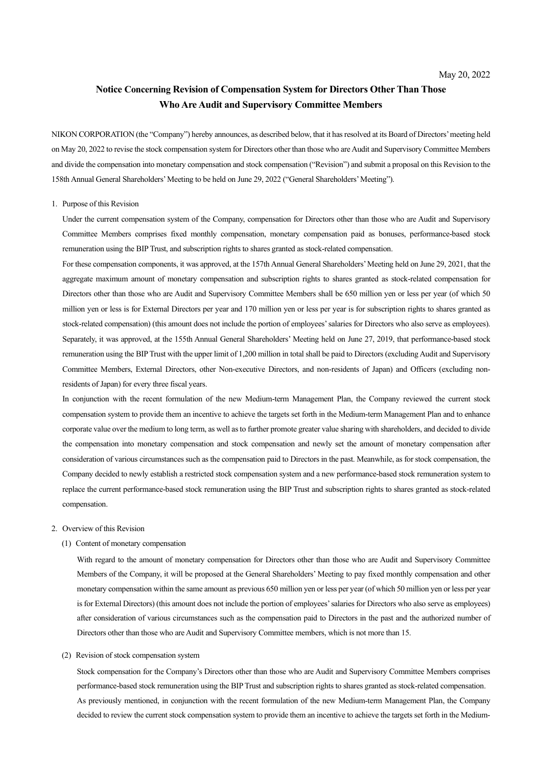# **Notice Concerning Revision of Compensation System for Directors Other Than Those Who Are Audit and Supervisory Committee Members**

NIKON CORPORATION (the "Company") hereby announces, as described below, that it has resolved at its Board of Directors'meeting held on May 20, 2022 to revise the stock compensation system for Directors other than those who are Audit and Supervisory Committee Members and divide the compensation into monetary compensation and stock compensation ("Revision") and submit a proposal on this Revision to the 158th Annual General Shareholders' Meeting to be held on June 29, 2022 ("General Shareholders' Meeting").

## 1. Purpose of this Revision

Under the current compensation system of the Company, compensation for Directors other than those who are Audit and Supervisory Committee Members comprises fixed monthly compensation, monetary compensation paid as bonuses, performance-based stock remuneration using the BIP Trust, and subscription rights to shares granted as stock-related compensation.

For these compensation components, it was approved, at the 157th Annual General Shareholders' Meeting held on June 29, 2021, that the aggregate maximum amount of monetary compensation and subscription rights to shares granted as stock-related compensation for Directors other than those who are Audit and Supervisory Committee Members shall be 650 million yen or less per year (of which 50 million yen or less is for External Directors per year and 170 million yen or less per year is for subscription rights to shares granted as stock-related compensation) (this amount does not include the portion of employees' salaries for Directors who also serve as employees). Separately, it was approved, at the 155th Annual General Shareholders' Meeting held on June 27, 2019, that performance-based stock remuneration using the BIP Trust with the upper limit of 1,200 million in total shall be paid to Directors (excluding Audit and Supervisory Committee Members, External Directors, other Non-executive Directors, and non-residents of Japan) and Officers (excluding nonresidents of Japan) for every three fiscal years.

In conjunction with the recent formulation of the new Medium-term Management Plan, the Company reviewed the current stock compensation system to provide them an incentive to achieve the targets set forth in the Medium-term Management Plan and to enhance corporate value over the medium to long term, as well as to further promote greater value sharing with shareholders, and decided to divide the compensation into monetary compensation and stock compensation and newly set the amount of monetary compensation after consideration of various circumstances such as the compensation paid to Directors in the past. Meanwhile, as for stock compensation, the Company decided to newly establish a restricted stock compensation system and a new performance-based stock remuneration system to replace the current performance-based stock remuneration using the BIP Trust and subscription rights to shares granted as stock-related compensation.

## 2. Overview of this Revision

# (1) Content of monetary compensation

With regard to the amount of monetary compensation for Directors other than those who are Audit and Supervisory Committee Members of the Company, it will be proposed at the General Shareholders' Meeting to pay fixed monthly compensation and other monetary compensation within the same amount as previous 650 million yen or less per year (of which 50 million yen or less per year is for External Directors) (this amount does not include the portion of employees' salaries for Directors who also serve as employees) after consideration of various circumstances such as the compensation paid to Directors in the past and the authorized number of Directors other than those who are Audit and Supervisory Committee members, which is not more than 15.

### (2) Revision of stock compensation system

Stock compensation for the Company's Directors other than those who are Audit and Supervisory Committee Members comprises performance-based stock remuneration using the BIP Trust and subscription rights to shares granted as stock-related compensation. As previously mentioned, in conjunction with the recent formulation of the new Medium-term Management Plan, the Company decided to review the current stock compensation system to provide them an incentive to achieve the targets set forth in the Medium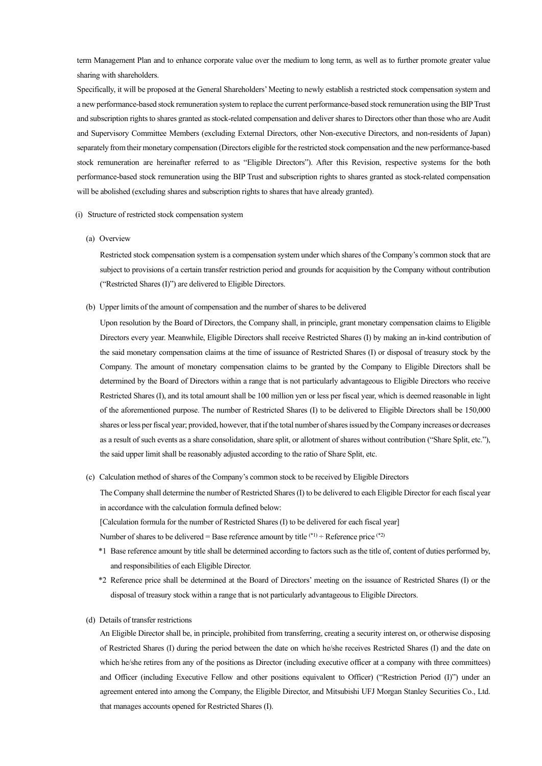term Management Plan and to enhance corporate value over the medium to long term, as well as to further promote greater value sharing with shareholders.

Specifically, it will be proposed at the General Shareholders' Meeting to newly establish a restricted stock compensation system and a new performance-based stock remuneration systemto replace the current performance-based stock remuneration using the BIP Trust and subscription rights to shares granted as stock-related compensation and deliver shares to Directors other than those who are Audit and Supervisory Committee Members (excluding External Directors, other Non-executive Directors, and non-residents of Japan) separately from their monetary compensation (Directors eligible for the restricted stock compensation and the new performance-based stock remuneration are hereinafter referred to as "Eligible Directors"). After this Revision, respective systems for the both performance-based stock remuneration using the BIP Trust and subscription rights to shares granted as stock-related compensation will be abolished (excluding shares and subscription rights to shares that have already granted).

- (i) Structure of restricted stock compensation system
	- (a) Overview

Restricted stock compensation system is a compensation system under which shares of the Company's common stock that are subject to provisions of a certain transfer restriction period and grounds for acquisition by the Company without contribution ("Restricted Shares (I)") are delivered to Eligible Directors.

(b) Upper limits of the amount of compensation and the number of shares to be delivered

Upon resolution by the Board of Directors, the Company shall, in principle, grant monetary compensation claims to Eligible Directors every year. Meanwhile, Eligible Directors shall receive Restricted Shares (I) by making an in-kind contribution of the said monetary compensation claims at the time of issuance of Restricted Shares (I) or disposal of treasury stock by the Company. The amount of monetary compensation claims to be granted by the Company to Eligible Directors shall be determined by the Board of Directors within a range that is not particularly advantageous to Eligible Directors who receive Restricted Shares (I), and its total amount shall be 100 million yen or less per fiscal year, which is deemed reasonable in light of the aforementioned purpose. The number of Restricted Shares (I) to be delivered to Eligible Directors shall be 150,000 shares or less per fiscal year; provided, however, that if the total number of shares issued by the Company increases or decreases as a result of such events as a share consolidation, share split, or allotment of shares without contribution ("Share Split, etc."), the said upper limit shall be reasonably adjusted according to the ratio of Share Split, etc.

(c) Calculation method of shares of the Company's common stock to be received by Eligible Directors

The Company shall determine the number of Restricted Shares (I) to be delivered to each Eligible Director for each fiscal year in accordance with the calculation formula defined below:

[Calculation formula for the number of Restricted Shares (I) to be delivered for each fiscal year]

Number of shares to be delivered = Base reference amount by title  $(1)$  ÷ Reference price  $(2)$ 

- \*1 Base reference amount by title shall be determined according to factors such as the title of, content of duties performed by, and responsibilities of each Eligible Director.
- \*2 Reference price shall be determined at the Board of Directors' meeting on the issuance of Restricted Shares (I) or the disposal of treasury stock within a range that is not particularly advantageous to Eligible Directors.
- (d) Details of transfer restrictions

An Eligible Director shall be, in principle, prohibited from transferring, creating a security interest on, or otherwise disposing of Restricted Shares (I) during the period between the date on which he/she receives Restricted Shares (I) and the date on which he/she retires from any of the positions as Director (including executive officer at a company with three committees) and Officer (including Executive Fellow and other positions equivalent to Officer) ("Restriction Period (I)") under an agreement entered into among the Company, the Eligible Director, and Mitsubishi UFJ Morgan Stanley Securities Co., Ltd. that manages accounts opened for Restricted Shares (I).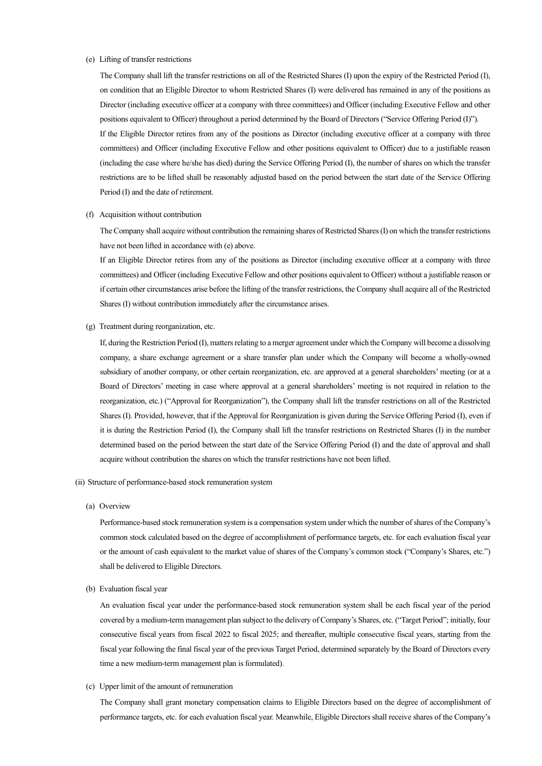### (e) Lifting of transfer restrictions

The Company shall lift the transfer restrictions on all of the Restricted Shares (I) upon the expiry of the Restricted Period (I), on condition that an Eligible Director to whom Restricted Shares (I) were delivered has remained in any of the positions as Director (including executive officer at a company with three committees) and Officer (including Executive Fellow and other positions equivalent to Officer) throughout a period determined by the Board of Directors ("Service Offering Period (I)"). If the Eligible Director retires from any of the positions as Director (including executive officer at a company with three committees) and Officer (including Executive Fellow and other positions equivalent to Officer) due to a justifiable reason (including the case where he/she has died) during the Service Offering Period (I), the number of shares on which the transfer restrictions are to be lifted shall be reasonably adjusted based on the period between the start date of the Service Offering

(f) Acquisition without contribution

Period (I) and the date of retirement.

The Company shall acquire without contribution the remaining shares of Restricted Shares (I) on which the transfer restrictions have not been lifted in accordance with (e) above.

If an Eligible Director retires from any of the positions as Director (including executive officer at a company with three committees) and Officer (including Executive Fellow and other positions equivalent to Officer) without a justifiable reason or if certain other circumstances arise before the lifting of the transfer restrictions, the Company shall acquire all of the Restricted Shares (I) without contribution immediately after the circumstance arises.

(g) Treatment during reorganization, etc.

If, during the Restriction Period (I), matters relating to a merger agreement under which the Company will become a dissolving company, a share exchange agreement or a share transfer plan under which the Company will become a wholly-owned subsidiary of another company, or other certain reorganization, etc. are approved at a general shareholders' meeting (or at a Board of Directors' meeting in case where approval at a general shareholders' meeting is not required in relation to the reorganization, etc.) ("Approval for Reorganization"), the Company shall lift the transfer restrictions on all of the Restricted Shares (I). Provided, however, that if the Approval for Reorganization is given during the Service Offering Period (I), even if it is during the Restriction Period (I), the Company shall lift the transfer restrictions on Restricted Shares (I) in the number determined based on the period between the start date of the Service Offering Period (I) and the date of approval and shall acquire without contribution the shares on which the transfer restrictions have not been lifted.

- (ii) Structure of performance-based stock remuneration system
	- (a) Overview

Performance-based stock remuneration system is a compensation system under which the number of shares of the Company's common stock calculated based on the degree of accomplishment of performance targets, etc. for each evaluation fiscal year or the amount of cash equivalent to the market value of shares of the Company's common stock ("Company's Shares, etc.") shall be delivered to Eligible Directors.

(b) Evaluation fiscal year

An evaluation fiscal year under the performance-based stock remuneration system shall be each fiscal year of the period covered by a medium-term management plan subject to the delivery of Company's Shares, etc. ("Target Period"; initially, four consecutive fiscal years from fiscal 2022 to fiscal 2025; and thereafter, multiple consecutive fiscal years, starting from the fiscal year following the final fiscal year of the previous Target Period, determined separately by the Board of Directors every time a new medium-term management plan is formulated).

(c) Upper limit of the amount of remuneration

The Company shall grant monetary compensation claims to Eligible Directors based on the degree of accomplishment of performance targets, etc. for each evaluation fiscal year. Meanwhile, Eligible Directors shall receive shares of the Company's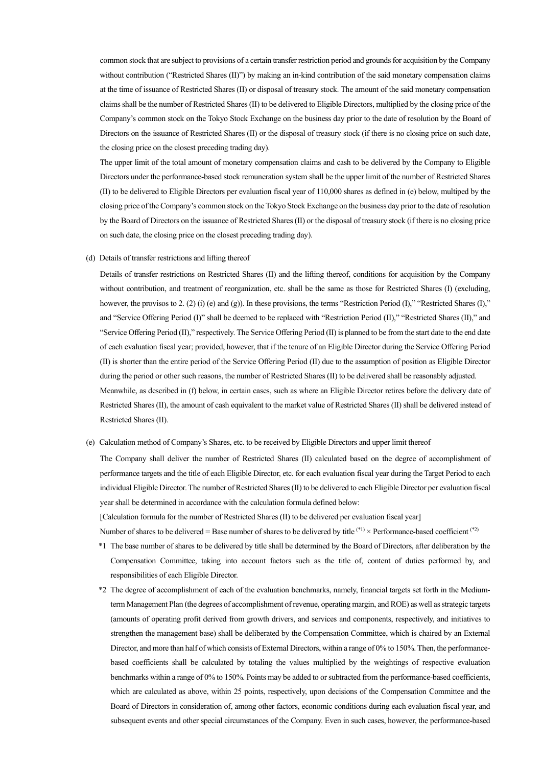common stock that are subject to provisions of a certain transfer restriction period and grounds for acquisition by the Company without contribution ("Restricted Shares (II)") by making an in-kind contribution of the said monetary compensation claims at the time of issuance of Restricted Shares (II) or disposal of treasury stock. The amount of the said monetary compensation claims shall be the number of Restricted Shares (II) to be delivered to Eligible Directors, multiplied by the closing price of the Company's common stock on the Tokyo Stock Exchange on the business day prior to the date of resolution by the Board of Directors on the issuance of Restricted Shares (II) or the disposal of treasury stock (if there is no closing price on such date, the closing price on the closest preceding trading day).

The upper limit of the total amount of monetary compensation claims and cash to be delivered by the Company to Eligible Directors under the performance-based stock remuneration system shall be the upper limit of the number of Restricted Shares (II) to be delivered to Eligible Directors per evaluation fiscal year of 110,000 shares as defined in (e) below, multiped by the closing price of the Company's common stock on the Tokyo Stock Exchange on the business day prior to the date of resolution by the Board of Directors on the issuance of Restricted Shares (II) or the disposal of treasury stock (if there is no closing price on such date, the closing price on the closest preceding trading day).

(d) Details of transfer restrictions and lifting thereof

Details of transfer restrictions on Restricted Shares (II) and the lifting thereof, conditions for acquisition by the Company without contribution, and treatment of reorganization, etc. shall be the same as those for Restricted Shares (I) (excluding, however, the provisos to 2. (2) (i) (e) and (g)). In these provisions, the terms "Restriction Period (I)," "Restricted Shares (I)," and "Service Offering Period (I)" shall be deemed to be replaced with "Restriction Period (II)," "Restricted Shares (II)," and "Service Offering Period (II)," respectively. The Service Offering Period (II) is planned to be from the start date to the end date of each evaluation fiscal year; provided, however, that if the tenure of an Eligible Director during the Service Offering Period (II) is shorter than the entire period of the Service Offering Period (II) due to the assumption of position as Eligible Director during the period or other such reasons, the number of Restricted Shares (II) to be delivered shall be reasonably adjusted. Meanwhile, as described in (f) below, in certain cases, such as where an Eligible Director retires before the delivery date of Restricted Shares (II), the amount of cash equivalent to the market value of Restricted Shares (II) shall be delivered instead of

Restricted Shares (II).

(e) Calculation method of Company's Shares, etc. to be received by Eligible Directors and upper limit thereof

The Company shall deliver the number of Restricted Shares (II) calculated based on the degree of accomplishment of performance targets and the title of each Eligible Director, etc. for each evaluation fiscal year during the Target Period to each individual Eligible Director.The number of Restricted Shares (II) to be delivered to each Eligible Director per evaluation fiscal year shall be determined in accordance with the calculation formula defined below:

[Calculation formula for the number of Restricted Shares (II) to be delivered per evaluation fiscal year]

Number of shares to be delivered = Base number of shares to be delivered by title  $(1) \times$  Performance-based coefficient  $(2)$ 

- \*1 The base number of shares to be delivered by title shall be determined by the Board of Directors, after deliberation by the Compensation Committee, taking into account factors such as the title of, content of duties performed by, and responsibilities of each Eligible Director.
- \*2 The degree of accomplishment of each of the evaluation benchmarks, namely, financial targets set forth in the Mediumterm Management Plan (the degrees of accomplishment of revenue, operating margin, and ROE) as well asstrategic targets (amounts of operating profit derived from growth drivers, and services and components, respectively, and initiatives to strengthen the management base) shall be deliberated by the Compensation Committee, which is chaired by an External Director, and more than half of which consists of External Directors, within a range of 0% to 150%. Then, the performancebased coefficients shall be calculated by totaling the values multiplied by the weightings of respective evaluation benchmarks within a range of 0% to 150%. Points may be added to or subtracted from the performance-based coefficients, which are calculated as above, within 25 points, respectively, upon decisions of the Compensation Committee and the Board of Directors in consideration of, among other factors, economic conditions during each evaluation fiscal year, and subsequent events and other special circumstances of the Company. Even in such cases, however, the performance-based